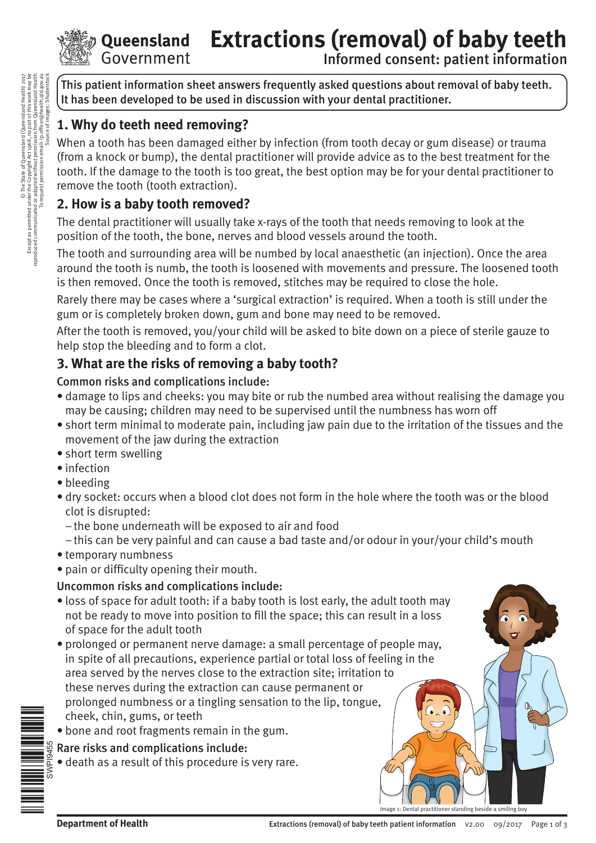**Extractions (removal) of baby teeth**

Informed consent: patient information

This patient information sheet answers frequently asked questions about removal of baby teeth. It has been developed to be used in discussion with your dental practitioner.

#### **1. Why do teeth need removing?**

Government

When a tooth has been damaged either by infection (from tooth decay or gum disease) or trauma (from a knock or bump), the dental practitioner will provide advice as to the best treatment for the tooth. If the damage to the tooth is too great, the best option may be for your dental practitioner to remove the tooth (tooth extraction).

#### **2. How is a baby tooth removed?**

The dental practitioner will usually take x-rays of the tooth that needs removing to look at the position of the tooth, the bone, nerves and blood vessels around the tooth.

The tooth and surrounding area will be numbed by local anaesthetic (an injection). Once the area around the tooth is numb, the tooth is loosened with movements and pressure. The loosened tooth is then removed. Once the tooth is removed, stitches may be required to close the hole.

Rarely there may be cases where a 'surgical extraction' is required. When a tooth is still under the gum or is completely broken down, gum and bone may need to be removed.

After the tooth is removed, you/your child will be asked to bite down on a piece of sterile gauze to help stop the bleeding and to form a clot.

### **3. What are the risks of removing a baby tooth?**

#### Common risks and complications include:

- damage to lips and cheeks: you may bite or rub the numbed area without realising the damage you may be causing; children may need to be supervised until the numbness has worn off
- short term minimal to moderate pain, including jaw pain due to the irritation of the tissues and the movement of the jaw during the extraction
- short term swelling
- infection
- bleeding
- dry socket: occurs when a blood clot does not form in the hole where the tooth was or the blood clot is disrupted:
	- –the bone underneath will be exposed to air and food
	- –this can be very painful and can cause a bad taste and/or odour in your/your child's mouth
- temporary numbness
- pain or difficulty opening their mouth.

#### Uncommon risks and complications include:

- loss of space for adult tooth: if a baby tooth is lost early, the adult tooth may not be ready to move into position to fill the space; this can result in a loss of space for the adult tooth
- prolonged or permanent nerve damage: a small percentage of people may, in spite of all precautions, experience partial or total loss of feeling in the area served by the nerves close to the extraction site; irritation to these nerves during the extraction can cause permanent or prolonged numbness or a tingling sensation to the lip, tongue, cheek, chin, gums, or teeth
- bone and root fragments remain in the gum.

#### Rare risks and complications include:

• death as a result of this procedure is very rare.

age 1: Dental practitioner standing beside a smiling boy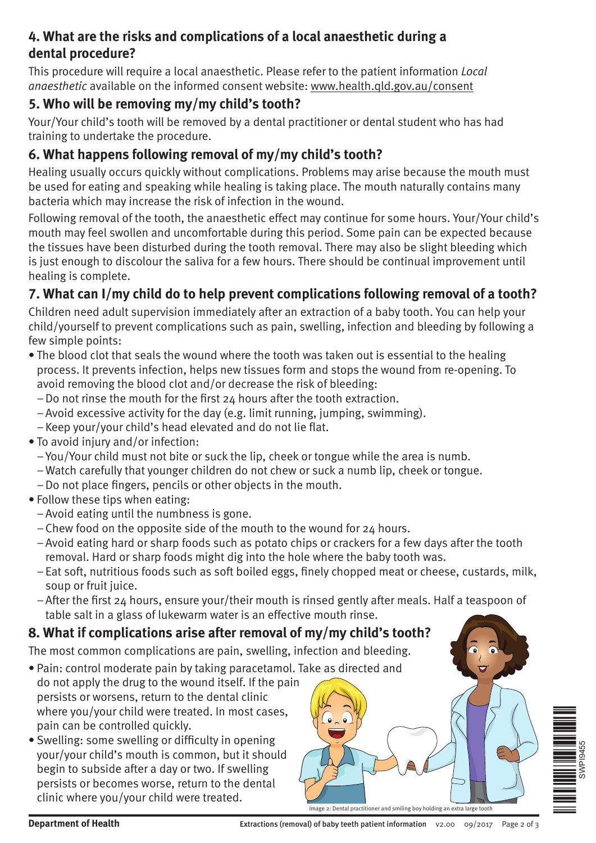## **4. What are the risks and complications of a local anaesthetic during a dental procedure?**

This procedure will require a local anaesthetic. Please refer to the patient information *Local anaesthetic* available on the informed consent website: www.health.qld.gov.au/consent

## **5. Who will be removing my/my child's tooth?**

Your/Your child's tooth will be removed by a dental practitioner or dental student who has had training to undertake the procedure.

## **6. What happens following removal of my/my child's tooth?**

Healing usually occurs quickly without complications. Problems may arise because the mouth must be used for eating and speaking while healing is taking place. The mouth naturally contains many bacteria which may increase the risk of infection in the wound.

Following removal of the tooth, the anaesthetic effect may continue for some hours. Your/Your child's mouth may feel swollen and uncomfortable during this period. Some pain can be expected because the tissues have been disturbed during the tooth removal. There may also be slight bleeding which is just enough to discolour the saliva for a few hours. There should be continual improvement until healing is complete.

# **7. What can I/my child do to help prevent complications following removal of a tooth?**

Children need adult supervision immediately after an extraction of a baby tooth. You can help your child/yourself to prevent complications such as pain, swelling, infection and bleeding by following a few simple points:

- The blood clot that seals the wound where the tooth was taken out is essential to the healing process. It prevents infection, helps new tissues form and stops the wound from re-opening. To avoid removing the blood clot and/or decrease the risk of bleeding:
	- –Do not rinse the mouth for the first 24 hours after the tooth extraction.
	- –Avoid excessive activity for the day (e.g. limit running, jumping, swimming).
	- –Keep your/your child's head elevated and do not lie flat.
- To avoid injury and/or infection:
	- –You/Your child must not bite or suck the lip, cheek or tongue while the area is numb.
	- –Watch carefully that younger children do not chew or suck a numb lip, cheek or tongue.
	- –Do not place fingers, pencils or other objects in the mouth.
- Follow these tips when eating:
	- –Avoid eating until the numbness is gone.
	- –Chew food on the opposite side of the mouth to the wound for 24 hours.
	- –Avoid eating hard or sharp foods such as potato chips or crackers for a few days after the tooth removal. Hard or sharp foods might dig into the hole where the baby tooth was.
	- –Eat soft, nutritious foods such as soft boiled eggs, finely chopped meat or cheese, custards, milk, soup or fruit juice.
	- $-$ After the first 24 hours, ensure your/their mouth is rinsed gently after meals. Half a teaspoon of table salt in a glass of lukewarm water is an effective mouth rinse.

## **8. What if complications arise after removal of my/my child's tooth?**

The most common complications are pain, swelling, infection and bleeding.

- Pain: control moderate pain by taking paracetamol. Take as directed and do not apply the drug to the wound itself. If the pain persists or worsens, return to the dental clinic where you/your child were treated. In most cases, pain can be controlled quickly.
- Swelling: some swelling or difficulty in opening your/your child's mouth is common, but it should begin to subside after a day or two. If swelling persists or becomes worse, return to the dental clinic where you/your child were treated.

mage 2: Dental practitioner and smiling boy holding an extra large tooth

ÌSWPIÇ~W\Î SWPI9455